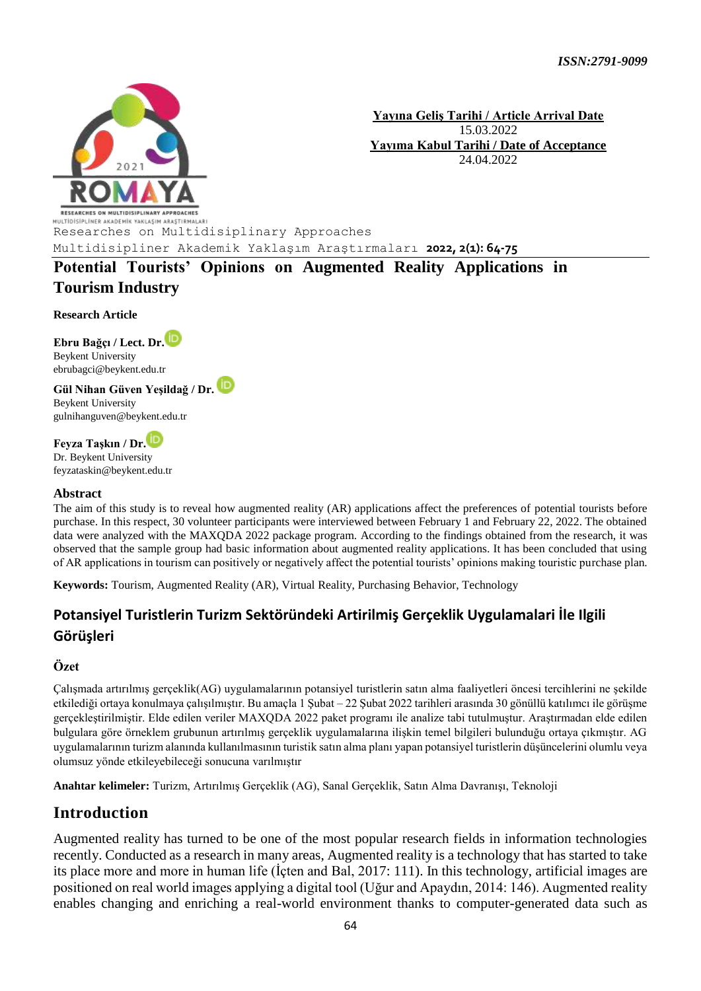

**Yayına Geliş Tarihi / Article Arrival Date** 15.03.2022 **Yayıma Kabul Tarihi / Date of Acceptance** 24.04.2022

**MULTIDISIPLINER AKADEMIK YAKLASIM ARASTIRMALARI**<br>Researches on Multidisiplinary Approaches

Multidisipliner Akademik Yaklaşım Araştırmaları **2022, 2(1): 64-75** 

**Potential Tourists' Opinions on Augmented Reality Applications in Tourism Industry** 

**Research Article**

**Ebru Bağçı / Lect. Dr.** Beykent University ebrubagci@beykent.edu.tr

**Gül Nihan Güven Yeşildağ / Dr.**  Beykent University gulnihanguven@beykent.edu.tr

**Feyza Taşkın / Dr[.](https://orcid.org/0000-0002-9470-9875)**

Dr. Beykent University feyzataskin@beykent.edu.tr

#### **Abstract**

The aim of this study is to reveal how augmented reality (AR) applications affect the preferences of potential tourists before purchase. In this respect, 30 volunteer participants were interviewed between February 1 and February 22, 2022. The obtained data were analyzed with the MAXQDA 2022 package program. According to the findings obtained from the research, it was observed that the sample group had basic information about augmented reality applications. It has been concluded that using of AR applications in tourism can positively or negatively affect the potential tourists' opinions making touristic purchase plan.

**Keywords:** Tourism, Augmented Reality (AR), Virtual Reality, Purchasing Behavior, Technology

## **Potansiyel Turistlerin Turizm Sektöründeki Artirilmiş Gerçeklik Uygulamalari İle Ilgili Görüşleri**

#### **Özet**

Çalışmada artırılmış gerçeklik(AG) uygulamalarının potansiyel turistlerin satın alma faaliyetleri öncesi tercihlerini ne şekilde etkilediği ortaya konulmaya çalışılmıştır. Bu amaçla 1 Şubat – 22 Şubat 2022 tarihleri arasında 30 gönüllü katılımcı ile görüşme gerçekleştirilmiştir. Elde edilen veriler MAXQDA 2022 paket programı ile analize tabi tutulmuştur. Araştırmadan elde edilen bulgulara göre örneklem grubunun artırılmış gerçeklik uygulamalarına ilişkin temel bilgileri bulunduğu ortaya çıkmıştır. AG uygulamalarının turizm alanında kullanılmasının turistik satın alma planı yapan potansiyel turistlerin düşüncelerini olumlu veya olumsuz yönde etkileyebileceği sonucuna varılmıştır

**Anahtar kelimeler:** Turizm, Artırılmış Gerçeklik (AG), Sanal Gerçeklik, Satın Alma Davranışı, Teknoloji

## **Introduction**

Augmented reality has turned to be one of the most popular research fields in information technologies recently. Conducted as a research in many areas, Augmented reality is a technology that has started to take its place more and more in human life (İçten and Bal, 2017: 111). In this technology, artificial images are positioned on real world images applying a digital tool (Uğur and Apaydın, 2014: 146). Augmented reality enables changing and enriching a real-world environment thanks to computer-generated data such as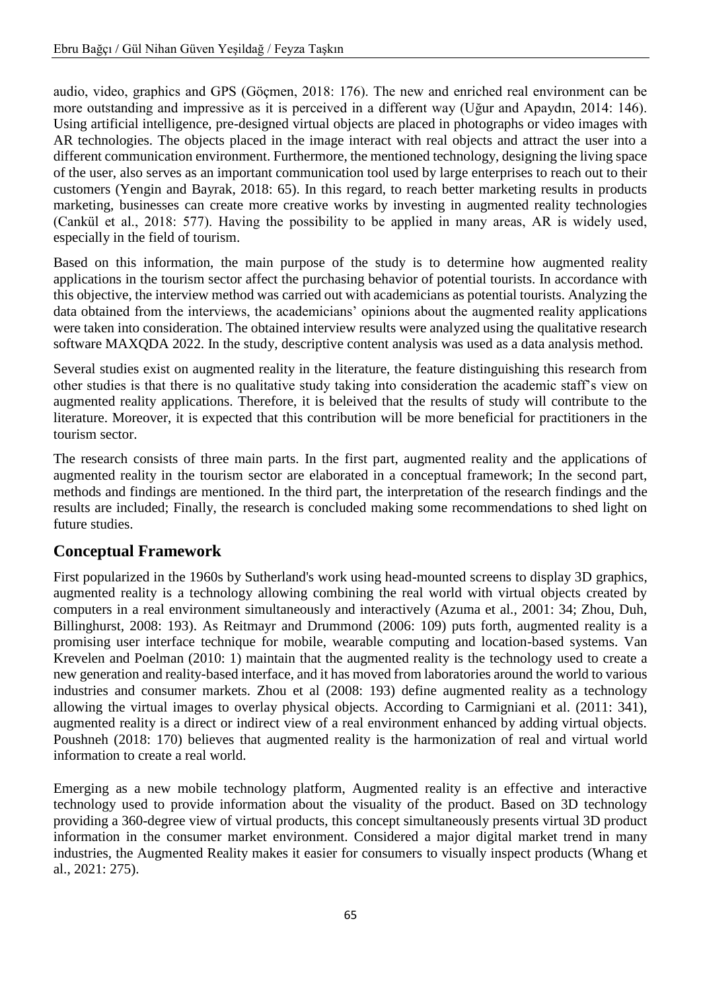audio, video, graphics and GPS (Göçmen, 2018: 176). The new and enriched real environment can be more outstanding and impressive as it is perceived in a different way (Uğur and Apaydın, 2014: 146). Using artificial intelligence, pre-designed virtual objects are placed in photographs or video images with AR technologies. The objects placed in the image interact with real objects and attract the user into a different communication environment. Furthermore, the mentioned technology, designing the living space of the user, also serves as an important communication tool used by large enterprises to reach out to their customers (Yengin and Bayrak, 2018: 65). In this regard, to reach better marketing results in products marketing, businesses can create more creative works by investing in augmented reality technologies (Cankül et al., 2018: 577). Having the possibility to be applied in many areas, AR is widely used, especially in the field of tourism.

Based on this information, the main purpose of the study is to determine how augmented reality applications in the tourism sector affect the purchasing behavior of potential tourists. In accordance with this objective, the interview method was carried out with academicians as potential tourists. Analyzing the data obtained from the interviews, the academicians' opinions about the augmented reality applications were taken into consideration. The obtained interview results were analyzed using the qualitative research software MAXQDA 2022. In the study, descriptive content analysis was used as a data analysis method.

Several studies exist on augmented reality in the literature, the feature distinguishing this research from other studies is that there is no qualitative study taking into consideration the academic staff's view on augmented reality applications. Therefore, it is beleived that the results of study will contribute to the literature. Moreover, it is expected that this contribution will be more beneficial for practitioners in the tourism sector.

The research consists of three main parts. In the first part, augmented reality and the applications of augmented reality in the tourism sector are elaborated in a conceptual framework; In the second part, methods and findings are mentioned. In the third part, the interpretation of the research findings and the results are included; Finally, the research is concluded making some recommendations to shed light on future studies.

# **Conceptual Framework**

First popularized in the 1960s by Sutherland's work using head-mounted screens to display 3D graphics, augmented reality is a technology allowing combining the real world with virtual objects created by computers in a real environment simultaneously and interactively (Azuma et al., 2001: 34; Zhou, Duh, Billinghurst, 2008: 193). As Reitmayr and Drummond (2006: 109) puts forth, augmented reality is a promising user interface technique for mobile, wearable computing and location-based systems. Van Krevelen and Poelman (2010: 1) maintain that the augmented reality is the technology used to create a new generation and reality-based interface, and it has moved from laboratories around the world to various industries and consumer markets. Zhou et al (2008: 193) define augmented reality as a technology allowing the virtual images to overlay physical objects. According to Carmigniani et al. (2011: 341), augmented reality is a direct or indirect view of a real environment enhanced by adding virtual objects. Poushneh (2018: 170) believes that augmented reality is the harmonization of real and virtual world information to create a real world.

Emerging as a new mobile technology platform, Augmented reality is an effective and interactive technology used to provide information about the visuality of the product. Based on 3D technology providing a 360-degree view of virtual products, this concept simultaneously presents virtual 3D product information in the consumer market environment. Considered a major digital market trend in many industries, the Augmented Reality makes it easier for consumers to visually inspect products (Whang et al., 2021: 275).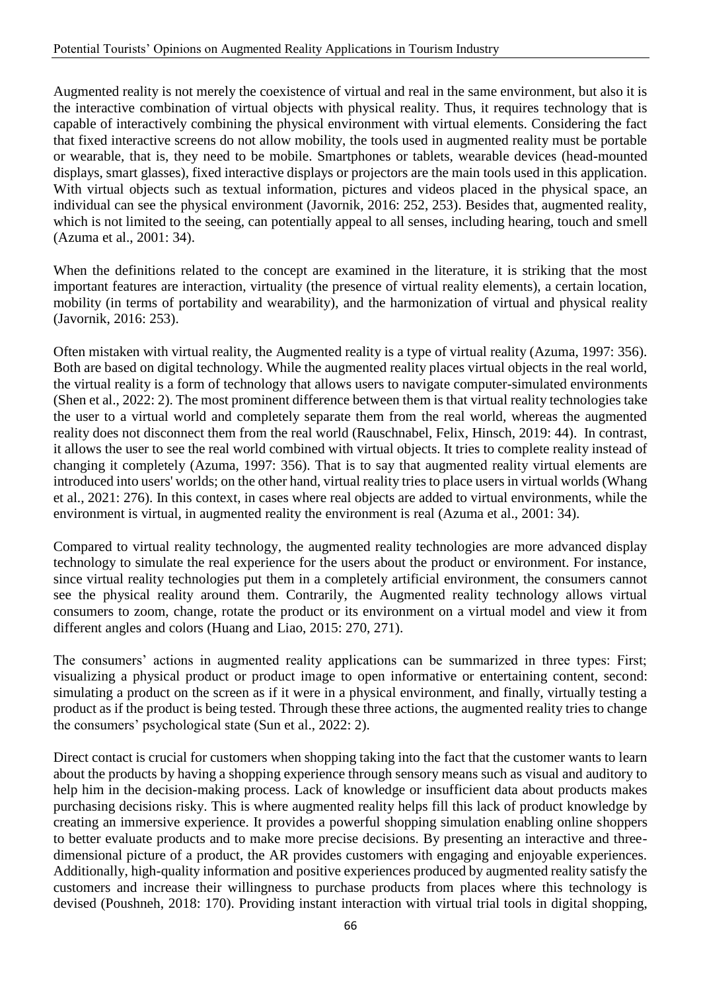Augmented reality is not merely the coexistence of virtual and real in the same environment, but also it is the interactive combination of virtual objects with physical reality. Thus, it requires technology that is capable of interactively combining the physical environment with virtual elements. Considering the fact that fixed interactive screens do not allow mobility, the tools used in augmented reality must be portable or wearable, that is, they need to be mobile. Smartphones or tablets, wearable devices (head-mounted displays, smart glasses), fixed interactive displays or projectors are the main tools used in this application. With virtual objects such as textual information, pictures and videos placed in the physical space, an individual can see the physical environment (Javornik, 2016: 252, 253). Besides that, augmented reality, which is not limited to the seeing, can potentially appeal to all senses, including hearing, touch and smell (Azuma et al., 2001: 34).

When the definitions related to the concept are examined in the literature, it is striking that the most important features are interaction, virtuality (the presence of virtual reality elements), a certain location, mobility (in terms of portability and wearability), and the harmonization of virtual and physical reality (Javornik, 2016: 253).

Often mistaken with virtual reality, the Augmented reality is a type of virtual reality (Azuma, 1997: 356). Both are based on digital technology. While the augmented reality places virtual objects in the real world, the virtual reality is a form of technology that allows users to navigate computer-simulated environments (Shen et al., 2022: 2). The most prominent difference between them is that virtual reality technologies take the user to a virtual world and completely separate them from the real world, whereas the augmented reality does not disconnect them from the real world (Rauschnabel, Felix, Hinsch, 2019: 44). In contrast, it allows the user to see the real world combined with virtual objects. It tries to complete reality instead of changing it completely (Azuma, 1997: 356). That is to say that augmented reality virtual elements are introduced into users' worlds; on the other hand, virtual reality tries to place users in virtual worlds (Whang et al., 2021: 276). In this context, in cases where real objects are added to virtual environments, while the environment is virtual, in augmented reality the environment is real (Azuma et al., 2001: 34).

Compared to virtual reality technology, the augmented reality technologies are more advanced display technology to simulate the real experience for the users about the product or environment. For instance, since virtual reality technologies put them in a completely artificial environment, the consumers cannot see the physical reality around them. Contrarily, the Augmented reality technology allows virtual consumers to zoom, change, rotate the product or its environment on a virtual model and view it from different angles and colors (Huang and Liao, 2015: 270, 271).

The consumers' actions in augmented reality applications can be summarized in three types: First; visualizing a physical product or product image to open informative or entertaining content, second: simulating a product on the screen as if it were in a physical environment, and finally, virtually testing a product as if the product is being tested. Through these three actions, the augmented reality tries to change the consumers' psychological state (Sun et al., 2022: 2).

Direct contact is crucial for customers when shopping taking into the fact that the customer wants to learn about the products by having a shopping experience through sensory means such as visual and auditory to help him in the decision-making process. Lack of knowledge or insufficient data about products makes purchasing decisions risky. This is where augmented reality helps fill this lack of product knowledge by creating an immersive experience. It provides a powerful shopping simulation enabling online shoppers to better evaluate products and to make more precise decisions. By presenting an interactive and threedimensional picture of a product, the AR provides customers with engaging and enjoyable experiences. Additionally, high-quality information and positive experiences produced by augmented reality satisfy the customers and increase their willingness to purchase products from places where this technology is devised (Poushneh, 2018: 170). Providing instant interaction with virtual trial tools in digital shopping,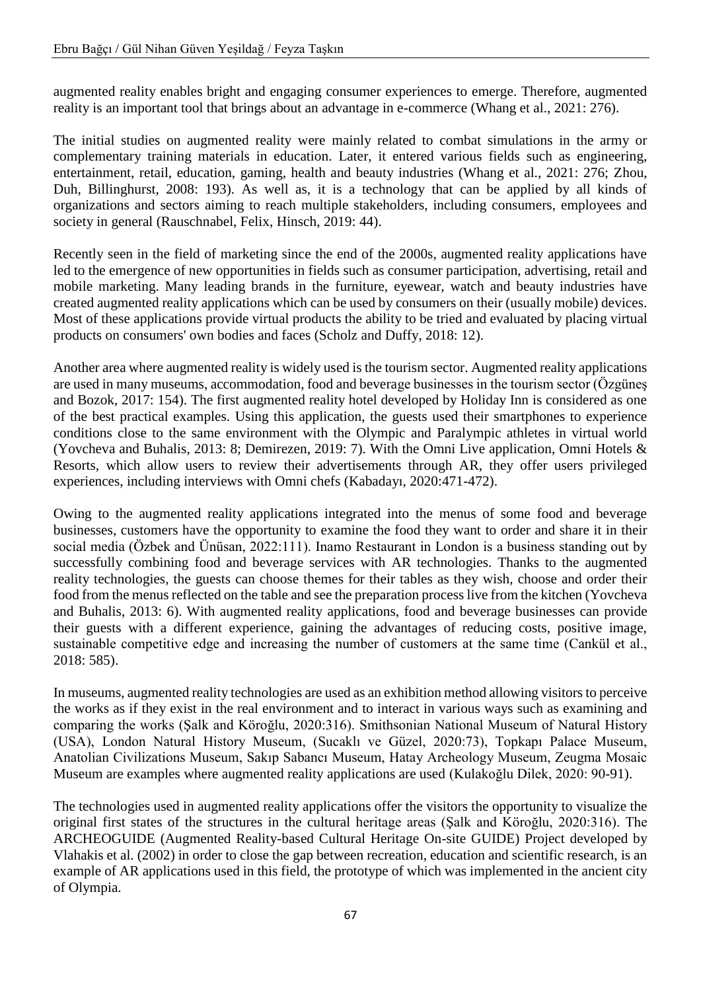augmented reality enables bright and engaging consumer experiences to emerge. Therefore, augmented reality is an important tool that brings about an advantage in e-commerce (Whang et al., 2021: 276).

The initial studies on augmented reality were mainly related to combat simulations in the army or complementary training materials in education. Later, it entered various fields such as engineering, entertainment, retail, education, gaming, health and beauty industries (Whang et al., 2021: 276; Zhou, Duh, Billinghurst, 2008: 193). As well as, it is a technology that can be applied by all kinds of organizations and sectors aiming to reach multiple stakeholders, including consumers, employees and society in general (Rauschnabel, Felix, Hinsch, 2019: 44).

Recently seen in the field of marketing since the end of the 2000s, augmented reality applications have led to the emergence of new opportunities in fields such as consumer participation, advertising, retail and mobile marketing. Many leading brands in the furniture, eyewear, watch and beauty industries have created augmented reality applications which can be used by consumers on their (usually mobile) devices. Most of these applications provide virtual products the ability to be tried and evaluated by placing virtual products on consumers' own bodies and faces (Scholz and Duffy, 2018: 12).

Another area where augmented reality is widely used is the tourism sector. Augmented reality applications are used in many museums, accommodation, food and beverage businesses in the tourism sector (Özgüneş and Bozok, 2017: 154). The first augmented reality hotel developed by Holiday Inn is considered as one of the best practical examples. Using this application, the guests used their smartphones to experience conditions close to the same environment with the Olympic and Paralympic athletes in virtual world (Yovcheva and Buhalis, 2013: 8; Demirezen, 2019: 7). With the Omni Live application, Omni Hotels & Resorts, which allow users to review their advertisements through AR, they offer users privileged experiences, including interviews with Omni chefs (Kabadayı, 2020:471-472).

Owing to the augmented reality applications integrated into the menus of some food and beverage businesses, customers have the opportunity to examine the food they want to order and share it in their social media (Özbek and Ünüsan, 2022:111). Inamo Restaurant in London is a business standing out by successfully combining food and beverage services with AR technologies. Thanks to the augmented reality technologies, the guests can choose themes for their tables as they wish, choose and order their food from the menus reflected on the table and see the preparation process live from the kitchen (Yovcheva and Buhalis, 2013: 6). With augmented reality applications, food and beverage businesses can provide their guests with a different experience, gaining the advantages of reducing costs, positive image, sustainable competitive edge and increasing the number of customers at the same time (Cankül et al., 2018: 585).

In museums, augmented reality technologies are used as an exhibition method allowing visitors to perceive the works as if they exist in the real environment and to interact in various ways such as examining and comparing the works (Şalk and Köroğlu, 2020:316). Smithsonian National Museum of Natural History (USA), London Natural History Museum, (Sucaklı ve Güzel, 2020:73), Topkapı Palace Museum, Anatolian Civilizations Museum, Sakıp Sabancı Museum, Hatay Archeology Museum, Zeugma Mosaic Museum are examples where augmented reality applications are used (Kulakoğlu Dilek, 2020: 90-91).

The technologies used in augmented reality applications offer the visitors the opportunity to visualize the original first states of the structures in the cultural heritage areas (Şalk and Köroğlu, 2020:316). The ARCHEOGUIDE (Augmented Reality-based Cultural Heritage On-site GUIDE) Project developed by Vlahakis et al. (2002) in order to close the gap between recreation, education and scientific research, is an example of AR applications used in this field, the prototype of which was implemented in the ancient city of Olympia.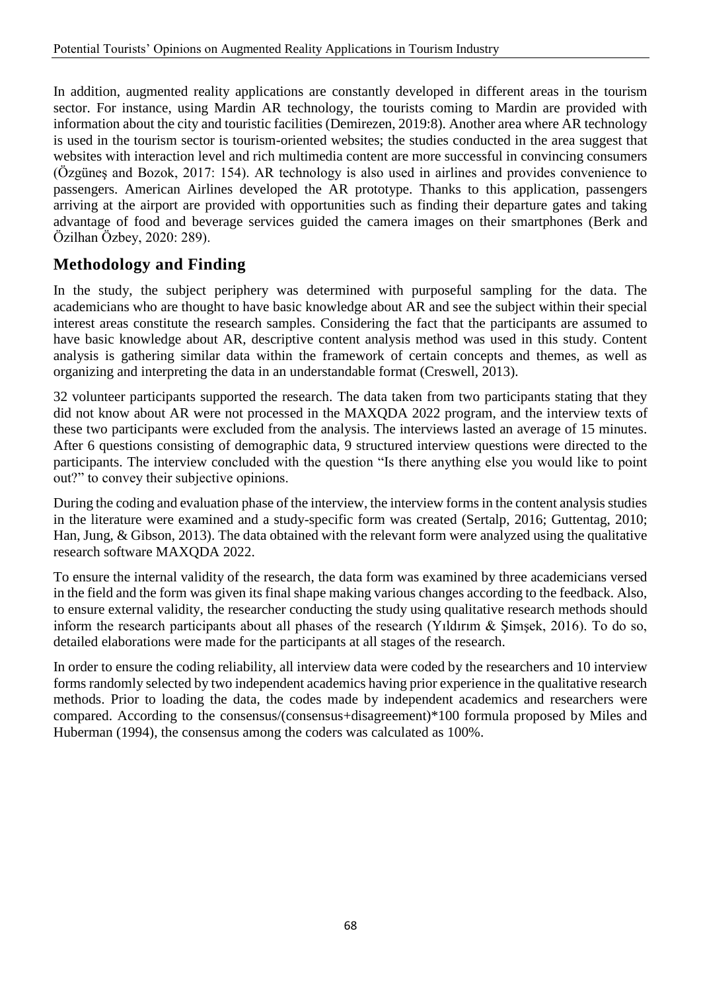In addition, augmented reality applications are constantly developed in different areas in the tourism sector. For instance, using Mardin AR technology, the tourists coming to Mardin are provided with information about the city and touristic facilities (Demirezen, 2019:8). Another area where AR technology is used in the tourism sector is tourism-oriented websites; the studies conducted in the area suggest that websites with interaction level and rich multimedia content are more successful in convincing consumers (Özgüneş and Bozok, 2017: 154). AR technology is also used in airlines and provides convenience to passengers. American Airlines developed the AR prototype. Thanks to this application, passengers arriving at the airport are provided with opportunities such as finding their departure gates and taking advantage of food and beverage services guided the camera images on their smartphones (Berk and Özilhan Özbey, 2020: 289).

## **Methodology and Finding**

In the study, the subject periphery was determined with purposeful sampling for the data. The academicians who are thought to have basic knowledge about AR and see the subject within their special interest areas constitute the research samples. Considering the fact that the participants are assumed to have basic knowledge about AR, descriptive content analysis method was used in this study. Content analysis is gathering similar data within the framework of certain concepts and themes, as well as organizing and interpreting the data in an understandable format (Creswell, 2013).

32 volunteer participants supported the research. The data taken from two participants stating that they did not know about AR were not processed in the MAXQDA 2022 program, and the interview texts of these two participants were excluded from the analysis. The interviews lasted an average of 15 minutes. After 6 questions consisting of demographic data, 9 structured interview questions were directed to the participants. The interview concluded with the question "Is there anything else you would like to point out?" to convey their subjective opinions.

During the coding and evaluation phase of the interview, the interview forms in the content analysis studies in the literature were examined and a study-specific form was created (Sertalp, 2016; Guttentag, 2010; Han, Jung, & Gibson, 2013). The data obtained with the relevant form were analyzed using the qualitative research software MAXQDA 2022.

To ensure the internal validity of the research, the data form was examined by three academicians versed in the field and the form was given its final shape making various changes according to the feedback. Also, to ensure external validity, the researcher conducting the study using qualitative research methods should inform the research participants about all phases of the research (Yıldırım & Şimşek, 2016). To do so, detailed elaborations were made for the participants at all stages of the research.

In order to ensure the coding reliability, all interview data were coded by the researchers and 10 interview forms randomly selected by two independent academics having prior experience in the qualitative research methods. Prior to loading the data, the codes made by independent academics and researchers were compared. According to the consensus/(consensus+disagreement)\*100 formula proposed by Miles and Huberman (1994), the consensus among the coders was calculated as 100%.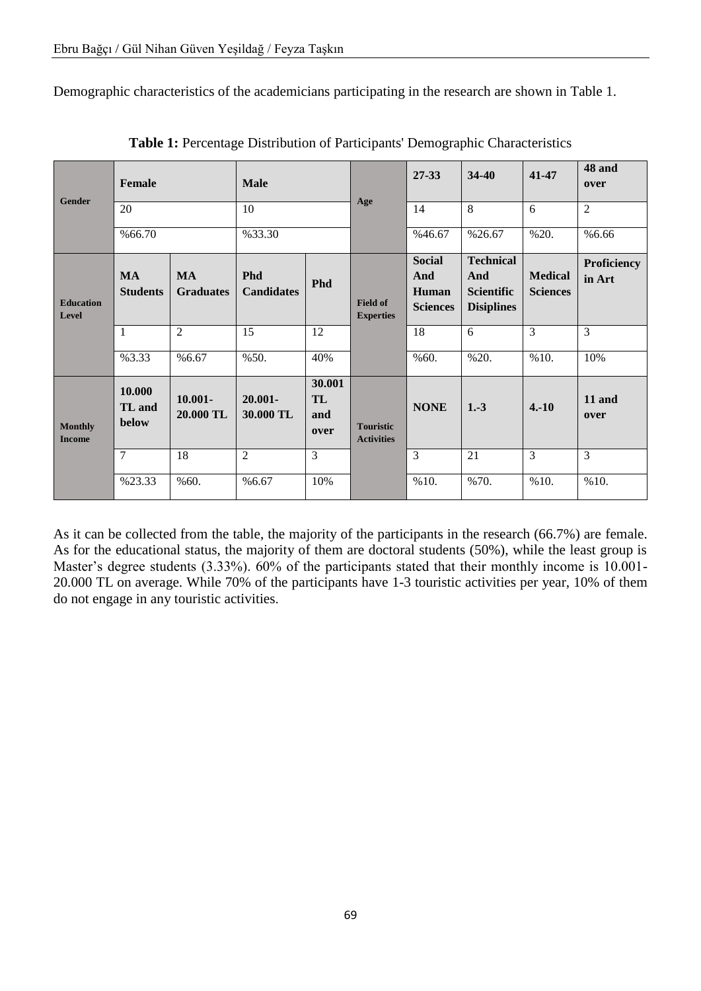Demographic characteristics of the academicians participating in the research are shown in Table 1.

| <b>Gender</b>                   | <b>Female</b>                |                               | <b>Male</b>                     |                             | Age                                   | $27 - 33$                                        | 34-40                                                             | 41-47                             | 48 and<br>over               |
|---------------------------------|------------------------------|-------------------------------|---------------------------------|-----------------------------|---------------------------------------|--------------------------------------------------|-------------------------------------------------------------------|-----------------------------------|------------------------------|
|                                 | $\overline{20}$              |                               | 10                              |                             |                                       | 14                                               | $\overline{8}$                                                    | 6                                 | $\overline{2}$               |
|                                 | %66.70                       |                               | %33.30                          |                             |                                       | %46.67                                           | %26.67                                                            | %20.                              | %6.66                        |
| <b>Education</b><br>Level       | <b>MA</b><br><b>Students</b> | <b>MA</b><br><b>Graduates</b> | <b>Phd</b><br><b>Candidates</b> | <b>Phd</b>                  | <b>Field of</b><br><b>Experties</b>   | <b>Social</b><br>And<br>Human<br><b>Sciences</b> | <b>Technical</b><br>And<br><b>Scientific</b><br><b>Disiplines</b> | <b>Medical</b><br><b>Sciences</b> | <b>Proficiency</b><br>in Art |
|                                 | $\mathbf{1}$                 | $\overline{2}$                | 15                              | 12                          |                                       | 18                                               | 6                                                                 | $\overline{3}$                    | 3                            |
|                                 | %3.33                        | %6.67                         | %50.                            | 40%                         |                                       | %60.                                             | %20.                                                              | %10.                              | 10%                          |
| <b>Monthly</b><br><b>Income</b> | 10.000<br>TL and<br>below    | $10.001 -$<br>20.000 TL       | $20.001 -$<br>30.000 TL         | 30.001<br>TL<br>and<br>over | <b>Touristic</b><br><b>Activities</b> | <b>NONE</b>                                      | $1.-3$                                                            | $4.-10$                           | 11 and<br>over               |
|                                 | 7                            | 18                            | $\overline{2}$                  | $\overline{3}$              |                                       | 3                                                | 21                                                                | 3                                 | 3                            |
|                                 | %23.33                       | %60.                          | %6.67                           | 10%                         |                                       | %10.                                             | %70.                                                              | %10.                              | %10.                         |

**Table 1:** Percentage Distribution of Participants' Demographic Characteristics

As it can be collected from the table, the majority of the participants in the research (66.7%) are female. As for the educational status, the majority of them are doctoral students (50%), while the least group is Master's degree students (3.33%). 60% of the participants stated that their monthly income is 10.001- 20.000 TL on average. While 70% of the participants have 1-3 touristic activities per year, 10% of them do not engage in any touristic activities.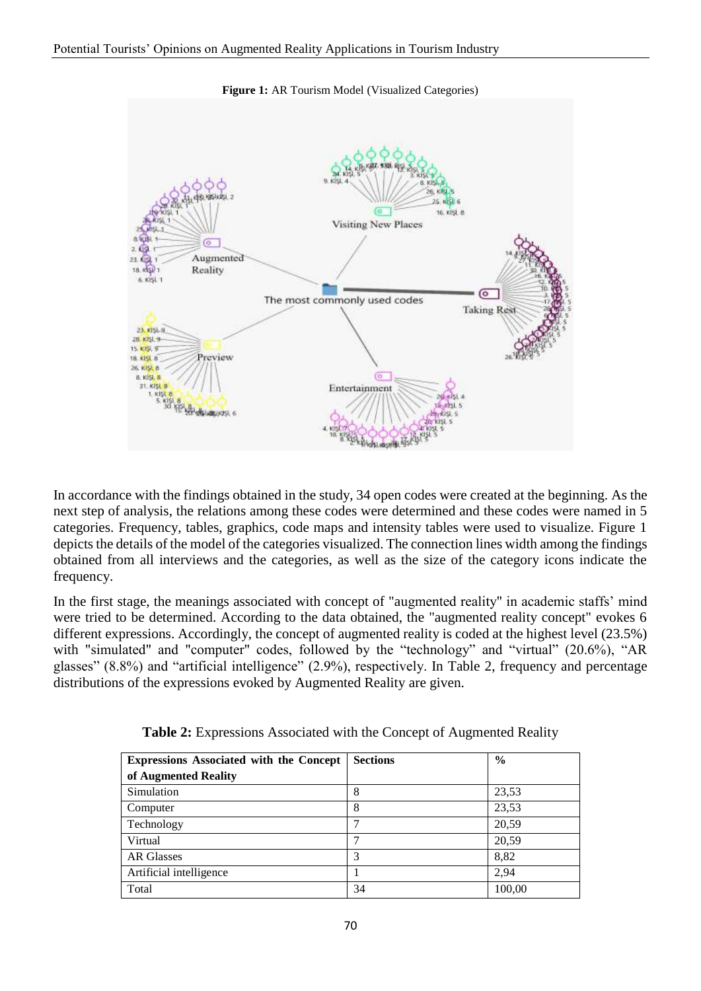

**Figure 1:** AR Tourism Model (Visualized Categories)

In accordance with the findings obtained in the study, 34 open codes were created at the beginning. As the next step of analysis, the relations among these codes were determined and these codes were named in 5 categories. Frequency, tables, graphics, code maps and intensity tables were used to visualize. Figure 1 depicts the details of the model of the categories visualized. The connection lines width among the findings obtained from all interviews and the categories, as well as the size of the category icons indicate the frequency.

In the first stage, the meanings associated with concept of "augmented reality" in academic staffs' mind were tried to be determined. According to the data obtained, the "augmented reality concept" evokes 6 different expressions. Accordingly, the concept of augmented reality is coded at the highest level (23.5%) with "simulated" and "computer" codes, followed by the "technology" and "virtual" (20.6%), "AR glasses" (8.8%) and "artificial intelligence" (2.9%), respectively. In Table 2, frequency and percentage distributions of the expressions evoked by Augmented Reality are given.

| Expressions Associated with the Concept | <b>Sections</b> | $\frac{6}{6}$ |
|-----------------------------------------|-----------------|---------------|
| of Augmented Reality                    |                 |               |
| Simulation                              | 8               | 23,53         |
| Computer                                | 8               | 23,53         |
| Technology                              |                 | 20,59         |
| Virtual                                 |                 | 20,59         |
| <b>AR Glasses</b>                       | 3               | 8,82          |
| Artificial intelligence                 |                 | 2.94          |
| Total                                   | 34              | 100,00        |

**Table 2:** Expressions Associated with the Concept of Augmented Reality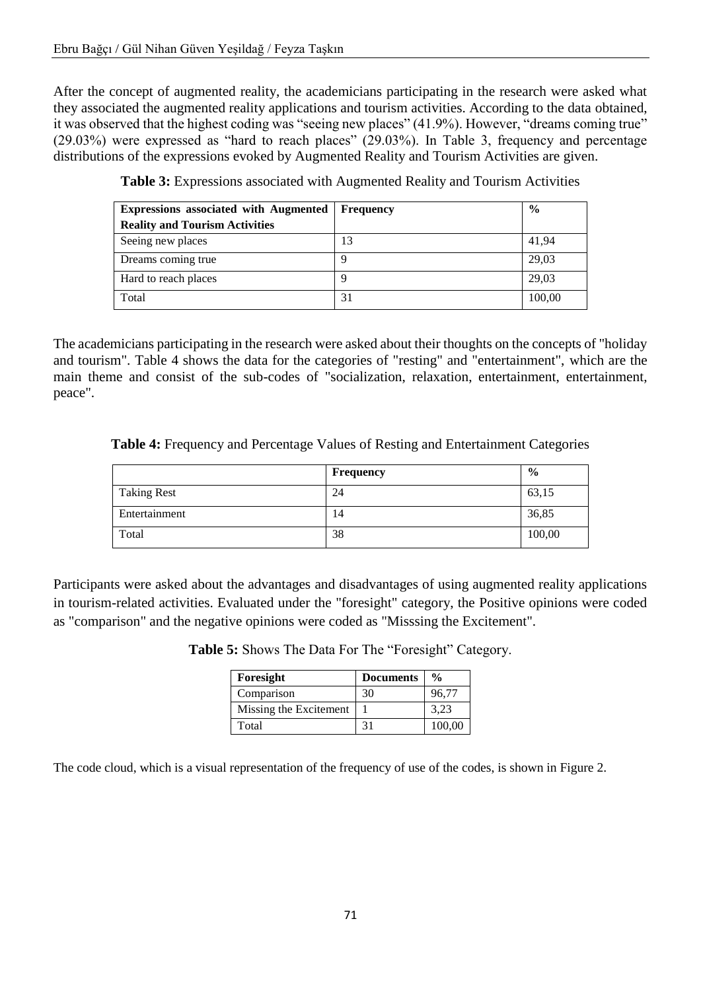After the concept of augmented reality, the academicians participating in the research were asked what they associated the augmented reality applications and tourism activities. According to the data obtained, it was observed that the highest coding was "seeing new places" (41.9%). However, "dreams coming true" (29.03%) were expressed as "hard to reach places" (29.03%). In Table 3, frequency and percentage distributions of the expressions evoked by Augmented Reality and Tourism Activities are given.

| <b>Expressions associated with Augmented</b> | <b>Frequency</b> | $\frac{6}{9}$ |
|----------------------------------------------|------------------|---------------|
| <b>Reality and Tourism Activities</b>        |                  |               |
| Seeing new places                            | 13               | 41,94         |
| Dreams coming true                           |                  | 29,03         |
| Hard to reach places                         |                  | 29,03         |
| Total                                        | 31               | 100,00        |

**Table 3:** Expressions associated with Augmented Reality and Tourism Activities

The academicians participating in the research were asked about their thoughts on the concepts of "holiday and tourism". Table 4 shows the data for the categories of "resting" and "entertainment", which are the main theme and consist of the sub-codes of "socialization, relaxation, entertainment, entertainment, peace".

|                    | Frequency | $\frac{6}{9}$ |
|--------------------|-----------|---------------|
| <b>Taking Rest</b> | 24        | 63,15         |
| Entertainment      | 14        | 36,85         |
| Total              | 38        | 100,00        |

**Table 4:** Frequency and Percentage Values of Resting and Entertainment Categories

Participants were asked about the advantages and disadvantages of using augmented reality applications in tourism-related activities. Evaluated under the "foresight" category, the Positive opinions were coded as "comparison" and the negative opinions were coded as "Misssing the Excitement".

| Foresight              | <b>Documents</b> | $\frac{0}{0}$ |
|------------------------|------------------|---------------|
| Comparison             | 30               | 96,77         |
| Missing the Excitement |                  | 3,23          |
| Total                  | 31               | 100,00        |

**Table 5:** Shows The Data For The "Foresight" Category.

The code cloud, which is a visual representation of the frequency of use of the codes, is shown in Figure 2.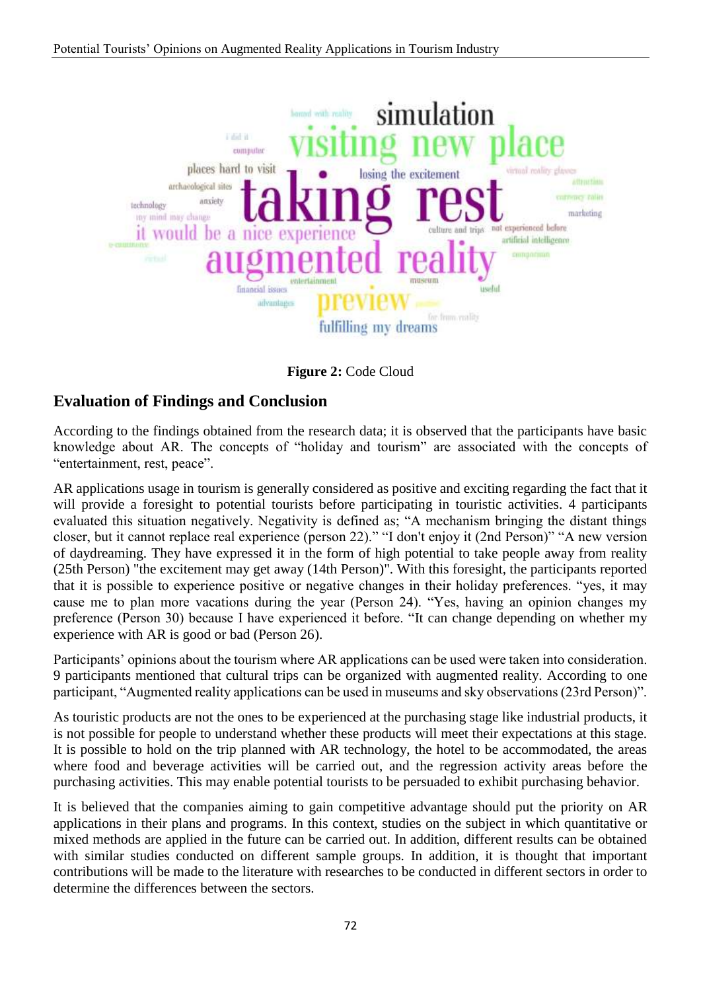

**Figure 2:** Code Cloud

## **Evaluation of Findings and Conclusion**

According to the findings obtained from the research data; it is observed that the participants have basic knowledge about AR. The concepts of "holiday and tourism" are associated with the concepts of "entertainment, rest, peace".

AR applications usage in tourism is generally considered as positive and exciting regarding the fact that it will provide a foresight to potential tourists before participating in touristic activities. 4 participants evaluated this situation negatively. Negativity is defined as; "A mechanism bringing the distant things closer, but it cannot replace real experience (person 22)." "I don't enjoy it (2nd Person)" "A new version of daydreaming. They have expressed it in the form of high potential to take people away from reality (25th Person) "the excitement may get away (14th Person)". With this foresight, the participants reported that it is possible to experience positive or negative changes in their holiday preferences. "yes, it may cause me to plan more vacations during the year (Person 24). "Yes, having an opinion changes my preference (Person 30) because I have experienced it before. "It can change depending on whether my experience with AR is good or bad (Person 26).

Participants' opinions about the tourism where AR applications can be used were taken into consideration. 9 participants mentioned that cultural trips can be organized with augmented reality. According to one participant, "Augmented reality applications can be used in museums and sky observations (23rd Person)".

As touristic products are not the ones to be experienced at the purchasing stage like industrial products, it is not possible for people to understand whether these products will meet their expectations at this stage. It is possible to hold on the trip planned with AR technology, the hotel to be accommodated, the areas where food and beverage activities will be carried out, and the regression activity areas before the purchasing activities. This may enable potential tourists to be persuaded to exhibit purchasing behavior.

It is believed that the companies aiming to gain competitive advantage should put the priority on AR applications in their plans and programs. In this context, studies on the subject in which quantitative or mixed methods are applied in the future can be carried out. In addition, different results can be obtained with similar studies conducted on different sample groups. In addition, it is thought that important contributions will be made to the literature with researches to be conducted in different sectors in order to determine the differences between the sectors.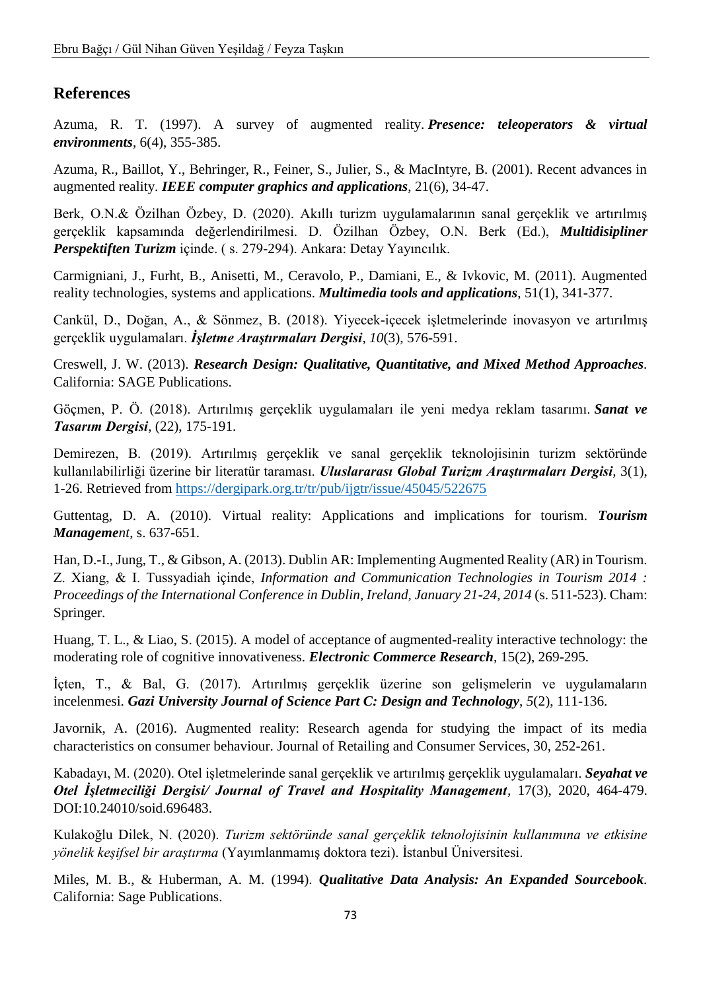## **References**

Azuma, R. T. (1997). A survey of augmented reality. *Presence: teleoperators & virtual environments*, 6(4), 355-385.

Azuma, R., Baillot, Y., Behringer, R., Feiner, S., Julier, S., & MacIntyre, B. (2001). Recent advances in augmented reality. *IEEE computer graphics and applications*, 21(6), 34-47.

Berk, O.N.& Özilhan Özbey, D. (2020). Akıllı turizm uygulamalarının sanal gerçeklik ve artırılmış gerçeklik kapsamında değerlendirilmesi. D. Özilhan Özbey, O.N. Berk (Ed.), *Multidisipliner Perspektiften Turizm* içinde. ( s. 279-294). Ankara: Detay Yayıncılık.

Carmigniani, J., Furht, B., Anisetti, M., Ceravolo, P., Damiani, E., & Ivkovic, M. (2011). Augmented reality technologies, systems and applications. *Multimedia tools and applications*, 51(1), 341-377.

Cankül, D., Doğan, A., & Sönmez, B. (2018). Yiyecek-içecek işletmelerinde inovasyon ve artırılmış gerçeklik uygulamaları. *İşletme Araştırmaları Dergisi*, *10*(3), 576-591.

Creswell, J. W. (2013). *Research Design: Qualitative, Quantitative, and Mixed Method Approaches.* California: SAGE Publications.

Göçmen, P. Ö. (2018). Artırılmış gerçeklik uygulamaları ile yeni medya reklam tasarımı. *Sanat ve Tasarım Dergisi*, (22), 175-191.

Demirezen, B. (2019). Artırılmış gerçeklik ve sanal gerçeklik teknolojisinin turizm sektöründe kullanılabilirliği üzerine bir literatür taraması. *Uluslararası Global Turizm Araştırmaları Dergisi,* 3(1), 1-26. Retrieved from<https://dergipark.org.tr/tr/pub/ijgtr/issue/45045/522675>

Guttentag, D. A. (2010). Virtual reality: Applications and implications for tourism. *Tourism Management*, s. 637-651.

Han, D.-I., Jung, T., & Gibson, A. (2013). Dublin AR: Implementing Augmented Reality (AR) in Tourism. Z. Xiang, & I. Tussyadiah içinde, *Information and Communication Technologies in Tourism 2014 : Proceedings of the International Conference in Dublin, Ireland, January 21-24, 2014* (s. 511-523). Cham: Springer.

Huang, T. L., & Liao, S. (2015). A model of acceptance of augmented-reality interactive technology: the moderating role of cognitive innovativeness. *Electronic Commerce Research*, 15(2), 269-295.

İçten, T., & Bal, G. (2017). Artırılmış gerçeklik üzerine son gelişmelerin ve uygulamaların incelenmesi. *Gazi University Journal of Science Part C: Design and Technology*, *5*(2), 111-136.

Javornik, A. (2016). Augmented reality: Research agenda for studying the impact of its media characteristics on consumer behaviour. Journal of Retailing and Consumer Services, 30, 252-261.

Kabadayı, M. (2020). Otel işletmelerinde sanal gerçeklik ve artırılmış gerçeklik uygulamaları. *Seyahat ve Otel İşletmeciliği Dergisi/ Journal of Travel and Hospitality Management,* 17(3), 2020, 464-479. DOI:10.24010/soid.696483.

Kulakoğlu Dilek, N. (2020). *Turizm sektöründe sanal gerçeklik teknolojisinin kullanımına ve etkisine yönelik keşifsel bir araştırma* (Yayımlanmamış doktora tezi). İstanbul Üniversitesi.

Miles, M. B., & Huberman, A. M. (1994). *Qualitative Data Analysis: An Expanded Sourcebook.* California: Sage Publications.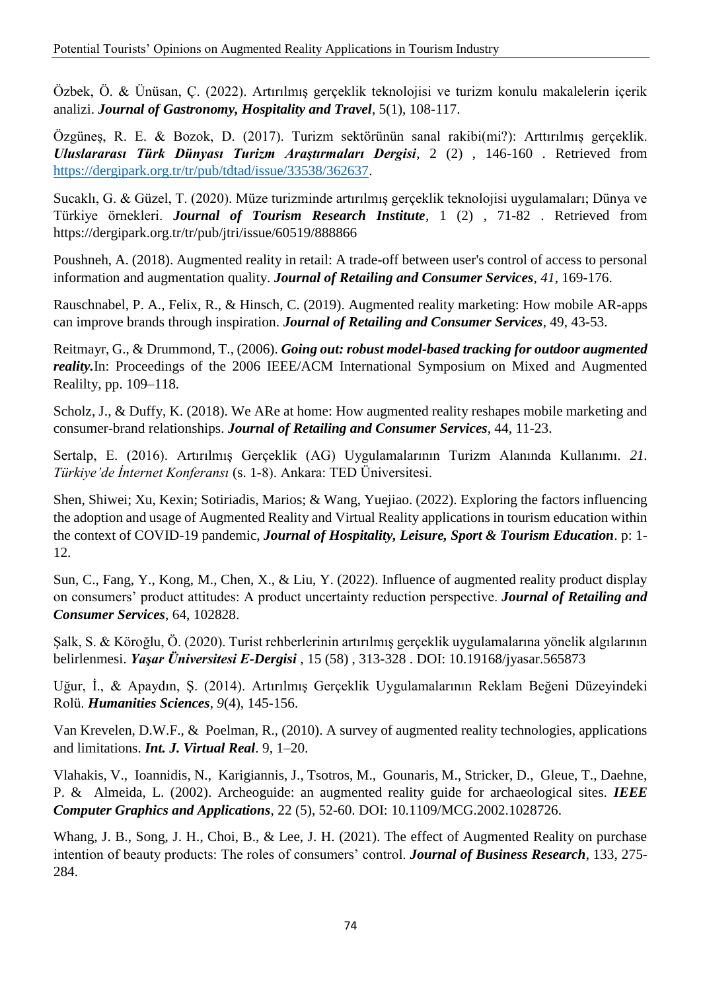Özbek, Ö. & Ünüsan, Ç. (2022). Artırılmış gerçeklik teknolojisi ve turizm konulu makalelerin içerik analizi. *Journal of Gastronomy, Hospitality and Travel*, 5(1), 108-117.

Özgüneş, R. E. & Bozok, D. (2017). Turizm sektörünün sanal rakibi(mi?): Arttırılmış gerçeklik. *Uluslararası Türk Dünyası Turizm Araştırmaları Dergisi*, 2 (2) , 146-160 . Retrieved from [https://dergipark.org.tr/tr/pub/tdtad/issue/33538/362637.](https://dergipark.org.tr/tr/pub/tdtad/issue/33538/362637)

Sucaklı, G. & Güzel, T. (2020). Müze turizminde artırılmış gerçeklik teknolojisi uygulamaları; Dünya ve Türkiye örnekleri. *Journal of Tourism Research Institute,* 1 (2) , 71-82 . Retrieved from https://dergipark.org.tr/tr/pub/jtri/issue/60519/888866

Poushneh, A. (2018). Augmented reality in retail: A trade-off between user's control of access to personal information and augmentation quality. *Journal of Retailing and Consumer Services*, *41*, 169-176.

Rauschnabel, P. A., Felix, R., & Hinsch, C. (2019). Augmented reality marketing: How mobile AR-apps can improve brands through inspiration. *Journal of Retailing and Consumer Services*, 49, 43-53.

Reitmayr, G., & Drummond, T., (2006). *Going out: robust model-based tracking for outdoor augmented reality.In: Proceedings of the 2006 IEEE/ACM International Symposium on Mixed and Augmented* Realilty, pp. 109–118.

Scholz, J., & Duffy, K. (2018). We ARe at home: How augmented reality reshapes mobile marketing and consumer-brand relationships. *Journal of Retailing and Consumer Services*, 44, 11-23.

Sertalp, E. (2016). Artırılmış Gerçeklik (AG) Uygulamalarının Turizm Alanında Kullanımı. *21. Türkiye'de İnternet Konferansı* (s. 1-8). Ankara: TED Üniversitesi.

Shen, Shiwei; Xu, Kexin; Sotiriadis, Marios; & Wang, Yuejiao. (2022). Exploring the factors influencing the adoption and usage of Augmented Reality and Virtual Reality applications in tourism education within the context of COVID-19 pandemic, *Journal of Hospitality, Leisure, Sport & Tourism Education*. p: 1- 12.

Sun, C., Fang, Y., Kong, M., Chen, X., & Liu, Y. (2022). Influence of augmented reality product display on consumers' product attitudes: A product uncertainty reduction perspective. *Journal of Retailing and Consumer Services*, 64, 102828.

Şalk, S. & Köroğlu, Ö. (2020). Turist rehberlerinin artırılmış gerçeklik uygulamalarına yönelik algılarının belirlenmesi. *Yaşar Üniversitesi E-Dergisi* , 15 (58) , 313-328 . DOI: 10.19168/jyasar.565873

Uğur, İ., & Apaydın, Ş. (2014). Artırılmış Gerçeklik Uygulamalarının Reklam Beğeni Düzeyindeki Rolü. *Humanities Sciences*, *9*(4), 145-156.

Van Krevelen, D.W.F., & Poelman, R., (2010). A survey of augmented reality technologies, applications and limitations. *Int. J. Virtual Real*. 9, 1–20.

Vlahakis, V., Ioannidis, N., Karigiannis, J., Tsotros, M., Gounaris, M., Stricker, D., Gleue, T., Daehne, P. & Almeida, L. (2002). Archeoguide: an augmented reality guide for archaeological sites. *IEEE Computer Graphics and Applications*, 22 (5), 52-60. DOI: 10.1109/MCG.2002.1028726.

Whang, J. B., Song, J. H., Choi, B., & Lee, J. H. (2021). The effect of Augmented Reality on purchase intention of beauty products: The roles of consumers' control. *Journal of Business Research*, 133, 275- 284.